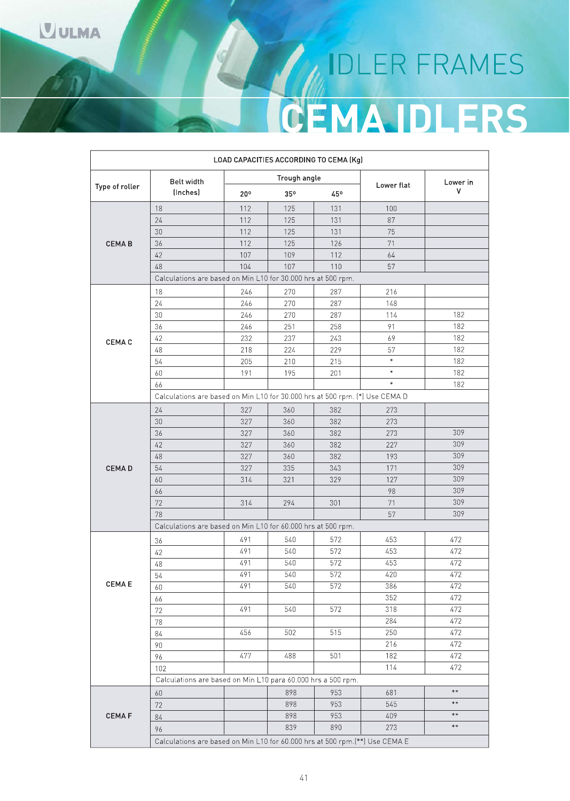# IDLER FRAMES **CEMA IDLERS**

|                |                                                                             |     |              | LOAD CAPACITIES ACCORDING TO CEMA (Kg) |            |            |
|----------------|-----------------------------------------------------------------------------|-----|--------------|----------------------------------------|------------|------------|
|                | <b>Belt width</b>                                                           |     | Trough angle |                                        |            | Lower in   |
| Type of roller | (Inches)                                                                    | 20° | 35°          | 45°                                    | Lower flat | ٧          |
|                | 18                                                                          | 112 | 125          | 131                                    | 100        |            |
|                | 24                                                                          | 112 | 125          | 131                                    | 87         |            |
|                | 30                                                                          | 112 | 125          | 131                                    | 75         |            |
| <b>CEMAB</b>   | 36                                                                          | 112 | 125          | 126                                    | 71         |            |
|                | 42                                                                          | 107 | 109          | 112                                    | 64         |            |
|                | 48                                                                          | 104 | 107          | 110                                    | 57         |            |
|                | Calculations are based on Min L10 for 30.000 hrs at 500 rpm.                |     |              |                                        |            |            |
|                | 18                                                                          | 246 | 270          | 287                                    | 216        |            |
|                | 24                                                                          | 246 | 270          | 287                                    | 148        |            |
|                | 30                                                                          | 246 | 270          | 287                                    | 114        | 182        |
|                | 36                                                                          | 246 | 251          | 258                                    | 91         | 182        |
| <b>CEMA C</b>  | 42                                                                          | 232 | 237          | 243                                    | 69         | 182        |
|                | 48                                                                          | 218 | 224          | 229                                    | 57         | 182        |
|                | 54                                                                          | 205 | 210          | 215                                    | $\ast$     | 182        |
|                | 60                                                                          | 191 | 195          | 201                                    | $\ast$     | 182        |
|                | 66                                                                          |     |              |                                        | $\ast$     | 182        |
|                | Calculations are based on Min L10 for 30 000 hrs at 500 rpm. (*) Use CEMA D |     |              |                                        |            |            |
|                | 24                                                                          | 327 | 360          | 382                                    | 273        |            |
|                | 30                                                                          | 327 | 360          | 382                                    | 273        |            |
|                | 36                                                                          | 327 | 360          | 382                                    | 273        | 309        |
|                | 42                                                                          | 327 | 360          | 382                                    | 227        | 309        |
|                | 48                                                                          | 327 | 360          | 382                                    | 193        | 309        |
| <b>CEMAD</b>   | 54                                                                          | 327 | 335          | 343                                    | 171        | 309        |
|                | 60                                                                          | 314 | 321          | 329                                    | 127        | 309        |
|                | 66                                                                          |     |              |                                        | 98         | 309        |
|                | 72                                                                          | 314 | 294          | 301                                    | 71         | 309        |
|                | 78                                                                          |     |              |                                        | 57         | 309        |
|                | Calculations are based on Min L10 for 60,000 hrs at 500 rpm.                |     |              |                                        |            |            |
|                | 36                                                                          | 491 | 540          | 572                                    | 453        | 472        |
|                | 42                                                                          | 491 | 540          | 572                                    | 453        | 472        |
|                | 48                                                                          | 491 | 540          | 572                                    | 453        | 472        |
|                | 54                                                                          | 491 | 540          | 572                                    | 420        | 472        |
| CEMA E         | 60                                                                          | 491 | 540          | 572                                    | 386        | 472        |
|                | 66                                                                          |     |              |                                        | 352        | 472        |
|                | 72                                                                          | 491 | 540          | 572                                    | 318        | 472        |
|                | 78                                                                          |     |              |                                        | 284        | 472        |
|                | 84                                                                          | 456 | 502          | 515                                    | 250        | 472        |
|                | 90                                                                          |     |              |                                        | 216        | 472        |
|                | 96                                                                          | 477 | 488          | 501                                    | 182        | 472        |
|                | 102                                                                         |     |              |                                        | 114        | 472        |
|                | Calculations are based on Min L10 para 60.000 hrs a 500 rpm.                |     |              |                                        |            |            |
|                | 60                                                                          |     | 898          | 953                                    | 681        | $\ast\ast$ |
|                | 72                                                                          |     | 898          | 953                                    | 545        | $\ast\ast$ |
| <b>CEMAF</b>   | $84\,$                                                                      |     | 898          | 953                                    | 409        | $\ast\ast$ |
|                | 96                                                                          |     | 839          | 890                                    | 273        | $\ast\ast$ |
|                | Calculations are based on Min L10 for 60.000 hrs at 500 rpm.(**) Use CEMA E |     |              |                                        |            |            |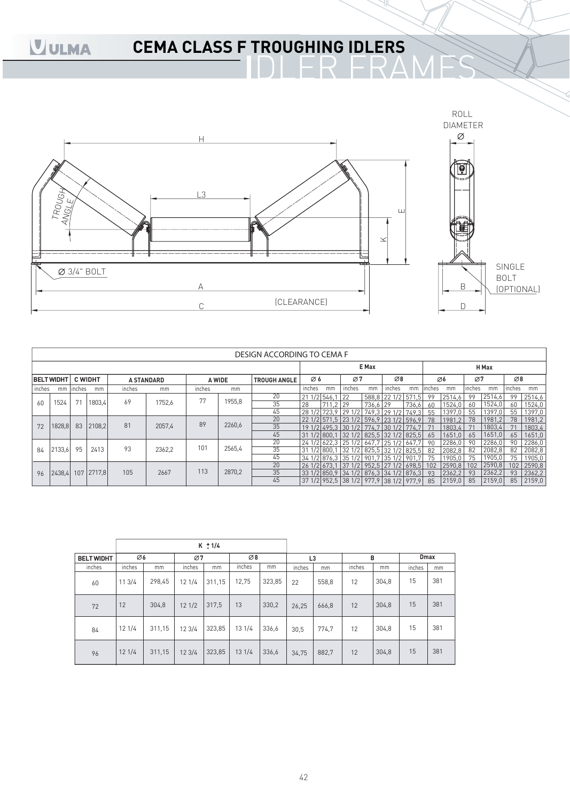## **CEMA CLASS F TROUGHING IDLERS**



|        |                   |                |                   |        |                   |        |        | DESIGN ACCORDING TO CEMA F |        |             |                                        |          |                  |       |        |                 |        |        |                 |        |
|--------|-------------------|----------------|-------------------|--------|-------------------|--------|--------|----------------------------|--------|-------------|----------------------------------------|----------|------------------|-------|--------|-----------------|--------|--------|-----------------|--------|
|        |                   |                |                   |        |                   |        |        |                            |        |             |                                        | E Max    |                  |       |        |                 |        | H Max  |                 |        |
|        | <b>BELT WIDHT</b> | <b>C WIDHT</b> |                   |        | <b>A STANDARD</b> | A WIDE |        | <b>TROUGH ANGLE</b>        | Ø6     |             | Ø7                                     |          | Ø8               |       |        | $\varnothing$ 6 | Ø7     |        | $\varnothing$ 8 |        |
| inches | mm                | inches         | mm                | inches | mm                | inches | mm     |                            | inches | mm          | inches                                 | mm       | inches           | mm    | inches | mm              | inches | mm     | inches          | mm     |
|        |                   |                |                   |        |                   | 77     |        | 20                         | 21     | $1/2$ 546.1 | 122                                    |          | 588.8 22 1/2 571 | h     | 99     | 2514,6          | 99     | 2514,6 | 99              | 2514,6 |
| 60     | 1524              |                | 1803,4            | 69     | 1752,6            |        | 1955,8 | 35                         | 28     | 711.2 29    |                                        | 736.6 29 |                  | 736,6 | 60     | 1524,0          | 60     | 1524,0 | 60              | 1524,0 |
|        |                   |                |                   |        |                   |        |        | 45                         |        |             | 28 1/2 723 9 29 1/2 749 3 29 1/2 749 3 |          |                  |       | 55     | 1397.0          | 55     | 1397,0 | 55              | 1397,0 |
|        |                   |                |                   |        |                   | 89     |        | 20                         |        |             | 22 1/2 571.5 23 1/2 596.9 23 1/2 596.9 |          |                  |       | 78     | 1981            | 78     | 1981.2 | 78              | 1981.2 |
| 72     | 1828,8            | 83             | 2108,2            | 81     | 2057,4            |        | 2260,6 | 35                         |        |             | 19 1/2 495.3 30 1/2 774.7 30 1/2 774.7 |          |                  |       |        | 1803.4          |        | 1803.4 | 71              | 1803,4 |
|        |                   |                |                   |        |                   |        |        | 45                         |        |             | 31 1/2 800 1 32 1/2 825 5 32 1/2 825 5 |          |                  |       | 65     | 1651,0          | 65     | 1651,0 | 65              | 1651,0 |
|        |                   |                |                   |        |                   |        |        | 20                         |        |             | 24 1/2 622.3 25 1/2 647.7 25 1/2       |          |                  | 647   | 90     | 2286,0          | 90     | 2286,0 | 90              | 2286,0 |
| 84     | 2133,6            | 95             | 2413              | 93     | 2362,2            | 101    | 2565,4 | 35                         |        |             | 1/2 800 1 32 1/2 825 5 32 1/2 825 5    |          |                  |       | 82     | 2082.8          | 82     | 2082,8 | 82              | 2082,8 |
|        |                   |                |                   |        |                   |        |        | 45                         |        |             | 34 1/2 876 3 35 1/2 901 7 35 1/2 901   |          |                  |       | 75     | 1905.0          | 75     | 1905.0 | 75              | 1905,0 |
|        |                   |                |                   |        |                   |        |        | 20                         |        |             | 26 1/2 673.1 37 1/2 952.5 27 1/2 698.5 |          |                  |       | 102    | 2590.8          | 102    | 2590,8 | 102             | 2590,8 |
| 96     |                   |                | 2438,4 107 2717,8 | 105    | 2667              | 113    | 2870,2 | 35                         |        |             | 33 1/2 850 9 34 1/2 876 3 34 1/2 876 3 |          |                  |       | 93     | 2362.2          | 93     | 2362,2 | 93              | 2362,2 |
|        |                   |                |                   |        |                   |        |        | 45                         |        |             | 37 1/2 952,5 38 1/2 977,9 38 1/2 977,9 |          |                  |       | 85     | 2159.0          | 85     | 2159.0 | 85              | 2159,0 |

|                   |        |        |        | $K \pm 1/4$ |        |        |                |       |        |       |        |             |
|-------------------|--------|--------|--------|-------------|--------|--------|----------------|-------|--------|-------|--------|-------------|
|                   |        |        |        |             |        |        |                |       |        |       |        |             |
| <b>BELT WIDHT</b> | Ø6     |        | Ø7     |             | Ø8     |        | L <sub>3</sub> |       |        | B     |        | <b>Dmax</b> |
| inches            | inches | mm     | inches | mm          | inches | mm     | inches         | mm    | inches | mm    | inches | mm          |
| 60                | 113/4  | 298,45 | 121/4  | 311,15      | 12,75  | 323,85 | 22             | 558,8 | 12     | 304,8 | 15     | 381         |
| 72                | 12     | 304,8  | 121/2  | 317,5       | 13     | 330,2  | 26,25          | 666,8 | 12     | 304,8 | 15     | 381         |
| 84                | 121/4  | 311,15 | 123/4  | 323,85      | 13 1/4 | 336,6  | 30,5           | 774.7 | 12     | 304,8 | 15     | 381         |
| 96                | 121/4  | 311,15 | 123/4  | 323,85      | 131/4  | 336,6  | 34,75          | 882,7 | 12     | 304,8 | 15     | 381         |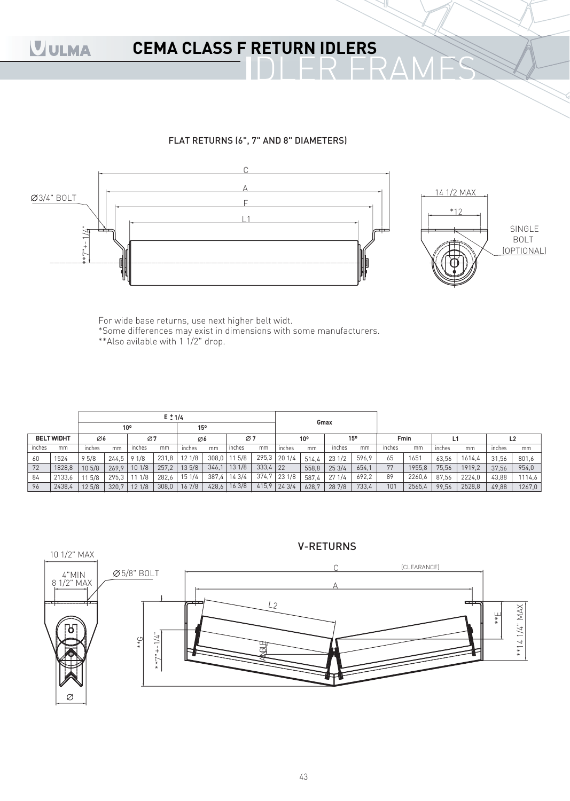### **CEMA CLASS F RETURN IDLERS**

#### FLAT RETURNS (6", 7" AND 8" DIAMETERS)



For wide base returns, use next higher belt widt. \*Some differences may exist in dimensions with some manufacturers.  $*$ Also avilable with 1 1/2" drop.

|        |                                               | $E \pm 1/4$ |                 |        |       |        |                 |        |            |                 |       | Gmax   |       |        |        |        |        |        |        |
|--------|-----------------------------------------------|-------------|-----------------|--------|-------|--------|-----------------|--------|------------|-----------------|-------|--------|-------|--------|--------|--------|--------|--------|--------|
|        |                                               |             | 10 <sup>o</sup> |        |       | 15°    |                 |        |            |                 |       |        |       |        |        |        |        |        |        |
|        | <b>BELT WIDHT</b><br>Ø6<br>inches<br>mm<br>mm |             | Ø7              |        | Ø6    |        | $\varnothing$ 7 |        |            | 10 <sup>o</sup> |       | 15°    |       | Fmin   |        |        | L2     |        |        |
| inches |                                               |             |                 | inches | mm    | inches | mm              | inches | mm         | inches          | mm    | inches | mm    | inches | mm     | inches | mm     | inches | mm     |
| 60     | 1524                                          | 95/8        | 244,5           | 91/8   | 231,8 | 121/8  | 308,0           | 5/8    |            | 295,3 20 1/4    | 514.4 | 231/2  | 596.9 | 65     | 1651   | 63.56  | 1614,4 | 31.56  | 801,6  |
| 72     | 1828,8                                        | 10 5/8      | 269,9           | 101/8  | 257,2 | 135/8  | 346.            | 131/8  | $333,4$ 22 |                 | 558.8 | 253/4  | 654,1 | 77     | 1955,8 | 75,56  | 1919,2 | 37,56  | 954,0  |
| 84     | 2133,6                                        | 11 5/8      | 295,3           | 1/8    | 282,6 | 151/4  | 387,4           | 143/4  | 374,7      | 231/8           | 587.4 | 271/4  | 692,2 | 89     | 2260,6 | 87,56  | 2224,0 | 43,88  | 1114,6 |
| 96     | 2438,4                                        | 125/8       | 320,7           | 121/8  | 308,0 | 16 7/8 | 428,6           | 163/8  | 415,9      | 243/4           | 628,7 | 28 7/8 | 733,4 | 101    | 2565,4 | 99,56  | 2528,8 | 49,88  | 1267,0 |



#### V-RETURNS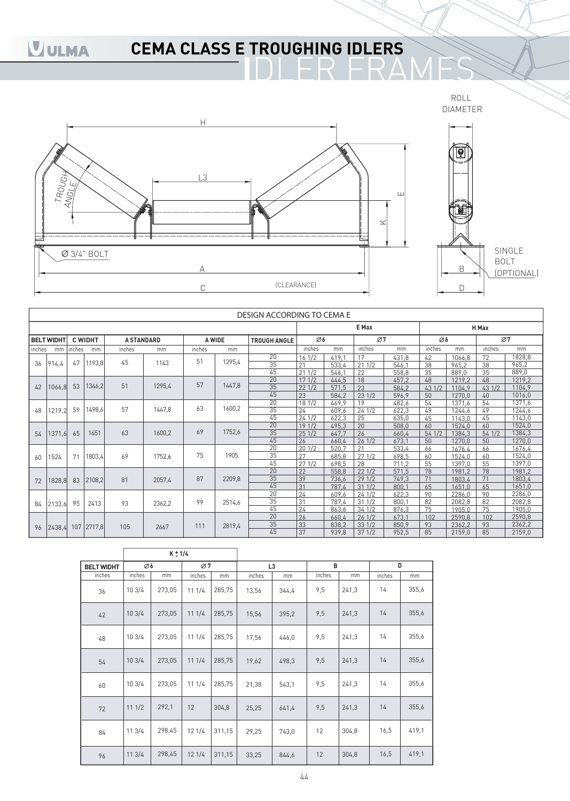## **CEMA CLASS E TROUGHING IDLERS**

ROLL DIAMETER



|        |                   |        |                |                   |        |        |        | DESIGN ACCORDING TO CEMA E |             |                |          |                |              |                  |             |                  |
|--------|-------------------|--------|----------------|-------------------|--------|--------|--------|----------------------------|-------------|----------------|----------|----------------|--------------|------------------|-------------|------------------|
|        |                   |        |                |                   |        |        |        |                            |             |                | E Max    |                |              |                  | H Max       |                  |
|        | <b>BELT WIDHT</b> |        | <b>C WIDHT</b> | <b>A STANDARD</b> |        |        | A WIDE | <b>TROUGH ANGLE</b>        | Ø6          |                | Ø7       |                | $\emptyset$  |                  |             | Ø7               |
| inches | mm                | inches | mm             | inches            | mm     | inches | mm     |                            | inches      | mm             | inches   | mm             | inches       | mm               | inches      | mm               |
|        |                   |        |                | 45                |        | 51     | 1295,4 | 20                         | 161/2       | 419.1          | 17       | 431,8          | 42           | 1066,8           | 72          | 1828,8           |
| 36     | 914.4             | 47     | 1193,8         |                   | 1143   |        |        | 35                         | 21          | 533,4          | 211/2    | 546.1          | 38           | 965,2            | 38          | 965,2            |
|        |                   |        |                |                   |        |        |        | 45                         | 211/2       | 546,1          | 22       | 558,8          | 35           | 889,0            | 35          | 889,0            |
|        |                   |        |                | 51                |        | 57     | 1447,8 | 20                         | 171/2       | 444.5          | 18       | 457.2          | 48           | 1219.2           | 48          | 1219,2           |
| 42     | 1066,8            | 53     | 1346,2         |                   | 1295,4 |        |        | $\overline{35}$            | 221/2       | 571,5          | 23       | 584,2          | 43 1/2       | 1104.9           | 431/2       | 1104,9           |
|        |                   |        |                |                   |        |        |        | 45<br>20                   | 23          | 584,2          | 231/2    | 596.9          | 50           | 1270,0           | 40          | 1016.0           |
|        |                   | 59     | 1498,6         | 57                | 1447.8 | 63     | 1600,2 | 35                         | 181/2       | 469.9          | 19       | 482,6          | 54           | 1371,6           | 54          | 1371,6           |
| 48     | 1219,2            |        |                |                   |        |        |        |                            | 24          | 609,6          | 241/2    | 622,3          | 49           | 1244,6           | 49          | 1244,6           |
|        |                   |        |                |                   |        |        |        | 45<br>$\overline{20}$      | 241/2       | 622,3          | 25<br>20 | 635,0          | 45           | 1143,0           | 45          | 1143,0<br>1524,0 |
|        |                   | 65     | 1651           | 63                | 1600,2 | 69     | 1752,6 | 35                         | 191/2       | 495,3          | 26       | 508.0          | 60           | 1524.0           | 60<br>541/2 | 1384,3           |
| 54     | 1371,6            |        |                |                   |        |        |        | 45                         | 251/2<br>26 | 647,7<br>660.4 | 261/2    | 660,4<br>673,1 | 54 1/2<br>50 | 1384,3<br>1270.0 | 50          | 1270,0           |
|        |                   |        |                |                   |        |        |        | 20                         | 201/2       | 520.7          | 21       | 533.4          | 66           | 1676.4           | 66          | 1676.4           |
| 60     | 1524              | 71     | 1803,4         | 69                | 1752,6 | 75     | 1905   | 35                         | 27          | 685.8          | 271/2    | 698.5          | 60           | 1524,0           | 60          | 1524,0           |
|        |                   |        |                |                   |        |        |        | 45                         | 271/2       | 698,5          | 28       | 711.2          | 55           | 1397.0           | 55          | 1397,0           |
|        |                   |        |                |                   |        |        |        | 20                         | 22          | 558.8          | 221/2    | 571.5          | 78           | 1981.2           | 78          | 1981.2           |
| 72     | 1828,8            | 83     | 2108,2         | 81                | 2057,4 | 87     | 2209,8 | 35                         | 39          | 736,6          | 291/2    | 749.3          | 71           | 1803.4           | 71          | 1803,4           |
|        |                   |        |                |                   |        |        |        | 45                         | 31          | 787.4          | 311/2    | 800.1          | 65           | 1651.0           | 65          | 1651,0           |
|        |                   |        |                |                   |        |        |        | 20                         | 24          | 609.6          | 241/2    | 622.3          | 90           | 2286.0           | 90          | 2286,0           |
| 84     | 2133,6            | 95     | 2413           | 93                | 2362,2 | 99     | 2514,6 | 35                         | 31          | 787,4          | 311/2    | 800.1          | 82           | 2082.8           | 82          | 2082,8           |
|        |                   |        |                |                   |        |        |        | 45                         | 24          | 863.6          | 341/2    | 876.3          | 75           | 1905.0           | 75          | 1905,0           |
|        |                   |        |                |                   |        |        |        | 20                         | 26          | 660.4          | 261/2    | 673.1          | 102          | 2590.8           | 102         | 2590.8           |
| 96     | 2438,4            |        | 107 2717,8     | 105               | 2667   | 111    | 2819,4 | 35                         | 33          | 838.2          | 331/2    | 850.9          | 93           | 2362,2           | 93          | 2362,2           |
|        |                   |        |                |                   |        |        |        | 45                         | 37          | 939,8          | 371/2    | 952,5          | 85           | 2159,0           | 85          | 2159,0           |

|                   |        | $K \pm 1/4$ |        |        |        |                |        |       |        |       |
|-------------------|--------|-------------|--------|--------|--------|----------------|--------|-------|--------|-------|
| <b>BELT WIDHT</b> | Ø6     |             | Ø7     |        |        | L <sub>3</sub> | B      |       | D      |       |
| inches            | inches | mm          | inches | mm     | inches | mm             | inches | mm    | inches | mm    |
| 36                | 103/4  | 273,05      | 111/4  | 285,75 | 13,56  | 344,4          | 9,5    | 241,3 | 14     | 355,6 |
| 42                | 103/4  | 273,05      | 111/4  | 285,75 | 15,56  | 395,2          | 9,5    | 241,3 | 14     | 355,6 |
| 48                | 103/4  | 273,05      | 111/4  | 285,75 | 17,56  | 446,0          | 9,5    | 241,3 | 14     | 355,6 |
| 54                | 103/4  | 273,05      | 111/4  | 285,75 | 19,62  | 498,3          | 9,5    | 241,3 | 14     | 355,6 |
| 60                | 103/4  | 273,05      | 111/4  | 285,75 | 21,38  | 543,1          | 9,5    | 241,3 | 14     | 355,6 |
| 72                | 111/2  | 292,1       | 12     | 304,8  | 25,25  | 641,4          | 9,5    | 241,3 | 14     | 355,6 |
| 84                | 113/4  | 298,45      | 121/4  | 311,15 | 29,25  | 743,0          | 12     | 304,8 | 16,5   | 419,1 |
| 96                | 113/4  | 298,45      | 121/4  | 311,15 | 33,25  | 844,6          | 12     | 304,8 | 16,5   | 419,1 |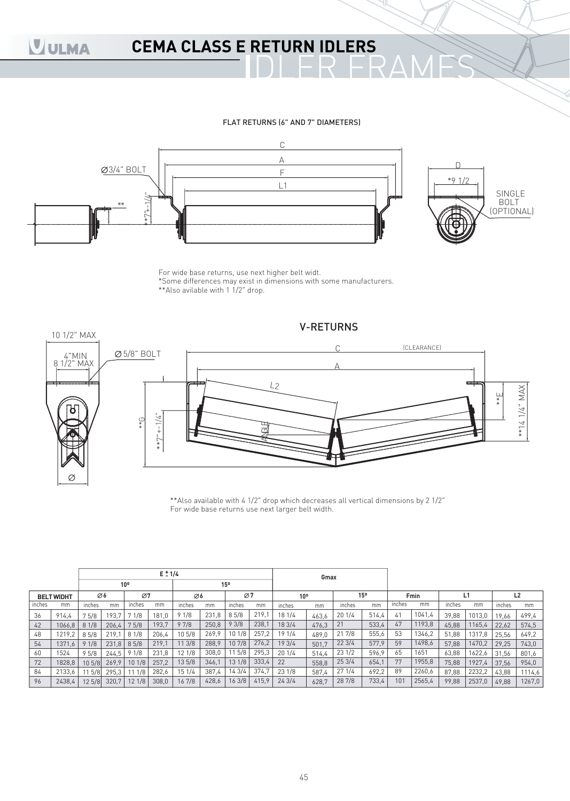## **CEMA CLASS E RETURN IDLERS**

#### FLAT RETURNS (6" AND 7" DIAMETERS)



For wide base returns, use next higher belt widt. \*Some differences may exist in dimensions with some manufacturers. \*\*Also avilable with 1 1/2" drop.



\*\*Also available with 4 1/2" drop which decreases all vertical dimensions by 2 1/2" For wide base returns use next larger belt width.

|        |                   | $E \pm 1/4$ |       |                 |       |        |       |        |       |                 | Gmax  |        |       |        |        |        |        |        |                |
|--------|-------------------|-------------|-------|-----------------|-------|--------|-------|--------|-------|-----------------|-------|--------|-------|--------|--------|--------|--------|--------|----------------|
|        |                   |             |       | 10 <sup>o</sup> |       |        |       | 15°    |       |                 |       |        |       |        |        |        |        |        |                |
|        | <b>BELT WIDHT</b> | Ø6          |       | Ø7              |       | Ø6     |       | Ø7     |       | 10 <sup>o</sup> |       |        | 15°   |        | Fmin   |        |        |        | L <sub>2</sub> |
| inches | mm                | inches      | mm    | inches          | mm    | inches | mm    | inches | mm    | inches          | mm    | inches | mm    | ınches | mm     | inches | mm     | inches | mm             |
| 36     | 914.4             | 75/8        | 193.7 | 1/8             | 181.0 | 91/8   | 231,8 | 85/8   | 219,1 | 18 1/4          | 463.6 | 201/4  | 514,4 | 41     | 1041,4 | 39.88  | 1013.0 | 19.66  | 499,4          |
| 42     | 1066.8            | 81/8        | 206,4 | 75/8            | 193.7 | 97/8   | 250,8 | 93/8   | 238,1 | 18 3/4          | 476.3 | 21     | 533,4 | 47     | 1193,8 | 45,88  | 1165,4 | 22.62  | 574,5          |
| 48     | 1219.2            | 85/8        | 219.7 | 81/8            | 206,4 | 105/8  | 269.9 | 10 1/8 | 257,2 | 19 1/4          | 489.0 | 217/8  | 555,6 | 53     | 1346,2 | 51,88  | 1317,8 | 25.56  | 649.2          |
| 54     | 1371,6            | 91/8        | 231.8 | 85/8            | 219,1 | 11 3/8 | 288,9 | 10 7/8 | 276,2 | 19 3/4          | 501.7 | 223/4  | 577,9 | 59     | 1498,6 | 57,88  | 1470,2 | 29.25  | 743,0          |
| 60     | 1524              | 95/8        | 244,5 | 91/8            | 231,8 | 12 1/8 | 308,0 | 11 5/8 | 295,3 | 201/4           | 514.4 | 231/2  | 596.9 | 65     | 1651   | 63,88  | 1622,6 | 31.56  | 801,6          |
| 72     | 1828.8            | 105/8       | 269.9 | 101/8           | 257,2 | 135/8  | 346,1 | 13 1/8 | 333,4 | 22              | 558.8 | 253/4  | 654,1 | 77     | 1955,8 | 75.88  | 1927,4 | 37.56  | 954,0          |
| 84     | 2133.6            | 11 5/8      | 295.3 | 1/8             | 282,6 | 15 1/4 | 387,4 | 14 3/4 | 374.7 | 23 1/8          | 587.4 | 271/4  | 692,2 | 89     | 2260,6 | 87,88  | 2232,2 | 43,88  | 1114,6         |
| 96     | 2438,4            | 125/8       | 320,7 | 121/8           | 308,0 | 16 7/8 | 428,6 | 163/8  | 415.9 | 243/4           | 628.7 | 28 7/8 | 733,4 | 101    | 2565,4 | 99,88  | 2537,0 | 49,88  | 1267,0         |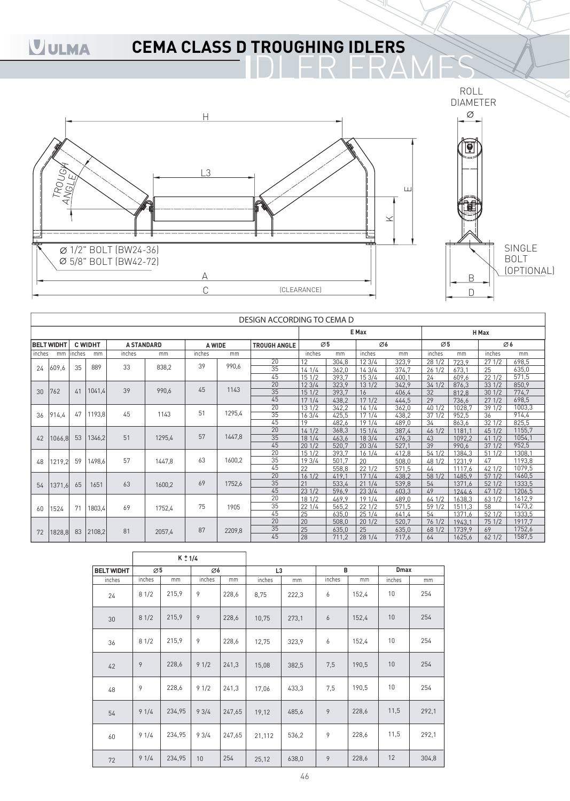## **CEMA CLASS D TROUGHING IDLERS**



|        |                   |        |                |                   |        |        |        | DESIGN ACCORDING TO CEMA D |        |       |        |       |                 |        |        |        |
|--------|-------------------|--------|----------------|-------------------|--------|--------|--------|----------------------------|--------|-------|--------|-------|-----------------|--------|--------|--------|
|        |                   |        |                |                   |        |        |        |                            |        |       | E Max  |       |                 |        | H Max  |        |
|        | <b>BELT WIDHT</b> |        | <b>C WIDHT</b> | <b>A STANDARD</b> |        | A WIDE |        | <b>TROUGH ANGLE</b>        | Ø5     |       | Ø6     |       | $\varnothing$ 5 |        |        | Ø6     |
| inches | mm                | inches | mm             | inches            | mm     | inches | mm     |                            | inches | mm    | inches | mm    | inches          | mm     | inches | mm     |
|        |                   |        |                |                   |        | 39     |        | 20                         | 12     | 304,8 | 123/4  | 323,9 | 28 1/2          | 723,9  | 271/2  | 698,5  |
| 24     | 609,6             | 35     | 889            | 33                | 838,2  |        | 990,6  | 35                         | 141/4  | 362.0 | 143/4  | 374.7 | 261/2           | 673.1  | 25     | 635,0  |
|        |                   |        |                |                   |        |        |        | 45                         | 151/2  | 393.7 | 153/4  | 400,1 | 24              | 609.6  | 221/2  | 571,5  |
|        |                   |        |                |                   |        | 45     |        | 20                         | 123/4  | 323.9 | 131/2  | 342,9 | 341/2           | 876.3  | 331/2  | 850,9  |
| 30     | 762               | 41     | 1041,4         | 39                | 990,6  |        | 1143   | 35                         | 151/2  | 393.7 | 16     | 406.4 | 32              | 812.8  | 301/2  | 774,7  |
|        |                   |        |                |                   |        |        |        | 45                         | 171/4  | 438,2 | 171/2  | 444,5 | 29              | 736,6  | 271/2  | 698,5  |
|        |                   |        |                |                   |        | 51     |        | 20                         | 131/2  | 342,2 | 141/4  | 362,0 | 40 1/2          | 1028,7 | 391/2  | 1003,3 |
| 36     | 914.4             | 47     | 1193,8         | 45                | 1143   |        | 1295,4 | 35                         | 163/4  | 425,5 | 171/4  | 438,2 | 371/2           | 952,5  | 36     | 914,4  |
|        |                   |        |                |                   |        |        |        | 45                         | 19     | 482,6 | 19 1/4 | 489.0 | 34              | 863,6  | 321/2  | 825,5  |
|        |                   |        |                |                   |        |        |        | 20                         | 141/2  | 368.3 | 151/4  | 387,4 | 46 1/2          | 1181.7 | 451/2  | 1155,7 |
| 42     | 1066,8            | 53     | 1346,2         | 51                | 1295,4 | 57     | 1447,8 | 35                         | 181/4  | 463,6 | 183/4  | 476,3 | 43              | 1092,2 | 411/2  | 1054,1 |
|        |                   |        |                |                   |        |        |        | 45                         | 201/2  | 520.7 | 203/4  | 527.1 | 39              | 990.6  | 371/2  | 952.5  |
|        |                   |        |                |                   |        |        |        | 20                         | 151/2  | 393.7 | 161/4  | 412.8 | 54 1/2          | 1384.3 | 51 1/2 | 1308.1 |
| 48     | 1219,2            | 59     | 1498,6         | 57                | 1447,8 | 63     | 1600,2 | 35                         | 193/4  | 501.7 | 20     | 508.0 | 48 1/2          | 1231.9 | 47     | 1193.8 |
|        |                   |        |                |                   |        |        |        | 45                         | 22     | 558,8 | 221/2  | 571.5 | 44              | 1117,6 | 42 1/2 | 1079,5 |
|        |                   |        |                |                   |        |        |        | 20                         | 161/2  | 419.7 | 171/4  | 438.2 | 58 1/2          | 1485.9 | 571/2  | 1460,5 |
| 54     | 1371,6            | 65     | 1651           | 63                | 1600,2 | 69     | 1752,6 | 35                         | 21     | 533,4 | 211/4  | 539.8 | 54              | 1371.6 | 521/2  | 1333,5 |
|        |                   |        |                |                   |        |        |        | 45                         | 23 1/2 | 596.9 | 233/4  | 603,3 | 49              | 1244.6 | 471/2  | 1206,5 |
|        |                   |        |                |                   |        |        |        | 20                         | 18 1/2 | 469.9 | 19 1/4 | 489.0 | 64 1/2          | 1638,3 | 63 1/2 | 1612,9 |
| 60     | 1524              | 71     | 1803,4         | 69                | 1752,4 | 75     | 1905   | 35                         | 221/4  | 565.2 | 221/2  | 571.5 | 59 1/2          | 1511,3 | 58     | 1473,2 |
|        |                   |        |                |                   |        |        |        | 45                         | 25     | 635,0 | 251/4  | 641.4 | 54              | 1371.6 | 521/2  | 1333,5 |
|        |                   |        |                |                   |        |        |        | 20                         | 20     | 508,0 | 201/2  | 520.7 | 76 1/2          | 1943,1 | 751/2  | 1917.7 |
| 72     | 1828,8            | 83     | 2108,2         | 81                | 2057,4 | 87     | 2209,8 | 35                         | 25     | 635,0 | 25     | 635.0 | 68 1/2          | 1739.9 | 69     | 1752,6 |
|        |                   |        |                |                   |        |        |        | 45                         | 28     | 711,2 | 281/4  | 717,6 | 64              | 1625,6 | 621/2  | 1587,5 |

|                   |                 | $K \pm 1/4$ |        |        |                |       |        |       |             |       |
|-------------------|-----------------|-------------|--------|--------|----------------|-------|--------|-------|-------------|-------|
| <b>BELT WIDHT</b> | $\varnothing$ 5 |             | Ø6     |        | L <sub>3</sub> |       | B      |       | <b>Dmax</b> |       |
| inches            | inches          | mm          | inches | mm     | inches         | mm    | inches | mm    | inches      | mm    |
| 24                | 81/2            | 215,9       | 9      | 228,6  | 8,75           | 222,3 | 6      | 152,4 | 10          | 254   |
| 30                | 81/2            | 215,9       | 9      | 228,6  | 10,75          | 273,1 | 6      | 152,4 | 10          | 254   |
| 36                | 81/2            | 215,9       | 9      | 228,6  | 12,75          | 323,9 | 6      | 152,4 | 10          | 254   |
| 42                | 9               | 228,6       | 91/2   | 241,3  | 15,08          | 382,5 | 7,5    | 190,5 | 10          | 254   |
| 48                | 9               | 228,6       | 91/2   | 241,3  | 17,06          | 433,3 | 7,5    | 190,5 | 10          | 254   |
| 54                | 91/4            | 234,95      | 93/4   | 247,65 | 19,12          | 485,6 | 9      | 228,6 | 11,5        | 292,1 |
| 60                | 91/4            | 234,95      | 93/4   | 247,65 | 21,112         | 536,2 | 9      | 228,6 | 11,5        | 292,1 |
| 72                | 91/4            | 234,95      | 10     | 254    | 25,12          | 638,0 | 9      | 228,6 | 12          | 304,8 |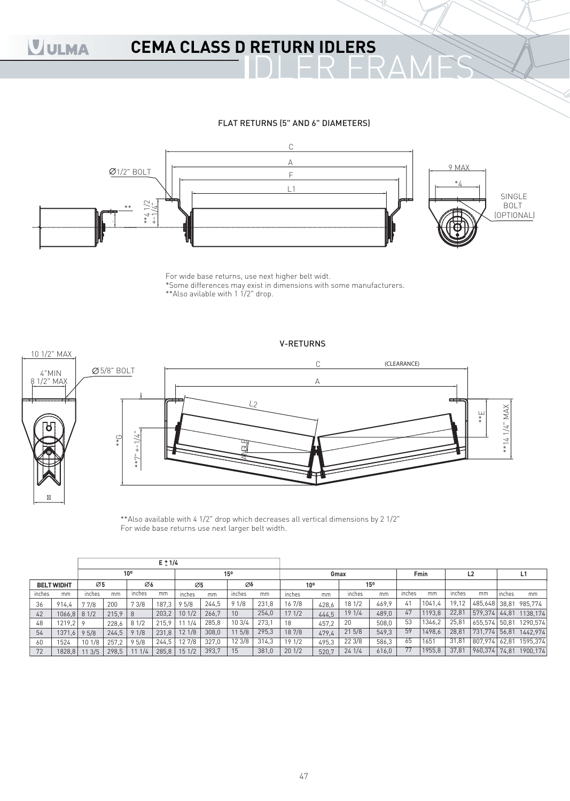## **CEMA CLASS D RETURN IDLERS**

#### FLAT RETURNS (5" AND 6" DIAMETERS)



For wide base returns, use next higher belt widt. \*Some differences may exist in dimensions with some manufacturers. \*\*Also avilable with 1 1/2" drop.



\*\*Also available with 4 1/2" drop which decreases all vertical dimensions by 2 1/2" For wide base returns use next larger belt width.

|        |                   |        |       |              | $E \pm 1/4$ |        |       |        |       |                 |       |        |       |        |        |        |               |        |          |
|--------|-------------------|--------|-------|--------------|-------------|--------|-------|--------|-------|-----------------|-------|--------|-------|--------|--------|--------|---------------|--------|----------|
|        |                   |        |       | $10^{\circ}$ |             |        |       | 15°    |       |                 | Gmax  |        |       |        | Fmin   |        | L2            |        | L1       |
|        | <b>BELT WIDHT</b> | Ø5     |       | Ø6           |             | Ø5     |       | Ø6     |       | 10 <sup>o</sup> |       |        | 15°   |        |        |        |               |        |          |
| inches | mm                | inches | mm    | inches       | mm          | inches | mm    | inches | mm    | inches          | mm    | inches | mm    | inches | mm     | inches | mm            | Inches | mm       |
| 36     | 914.4             | 77/8   | 200   | 73/8         | 187,3       | 95/8   | 244,5 | 91/8   | 231,8 | 167/8           | 428.6 | 18 1/2 | 469.9 | 41     | 1041,4 | 19,12  | 485,648 38,81 |        | 985.774  |
| 42     | 1066,8            | 81/2   | 215.9 | $\vert$ 8    | 203,2       | 101/2  | 266,7 | 10     | 254,0 | 171/2           | 444.5 | 19 1/4 | 489,0 | 47     | 1193,8 | 22,81  | 579,374       | 44.81  | 1138,174 |
| 48     | $1219,2$ 9        |        | 228,6 | 81/2         | 215.9       | 1/4    | 285,8 | 103/4  | 273,1 | 18              | 457,2 | 20     | 508.0 | 53     | 1346,2 | 25,81  | 655,574       | 50.81  | 1290,574 |
| 54     | 1371.6            | 95/8   | 244,5 | 91/8         | 231.8       | 12 1/8 | 308,0 | 115/8  | 295,3 | 187/8           | 479.4 | 215/8  | 549.3 | 59     | 1498,6 | 28,81  | 731,774 56,81 |        | 1442,974 |
| 60     | 1524              | 101/8  | 257,2 | 95/8         | 244,5       | 12 7/8 | 327,0 | 12 3/8 | 314,3 | 191/2           | 495.3 | 223/8  | 586,3 | 65     | 1651   | 31,81  | 807.974       | 62,81  | 1595,374 |
| 72     | 1828,8            | 13/5   | 298,5 | 1/4          | 285.8       | 151/2  | 393,7 | 15     | 381,0 | 201/2           | 520,7 | 241/4  | 616,0 | 77     | 1955,8 | 37,81  | 960,374 74,81 |        | 1900,174 |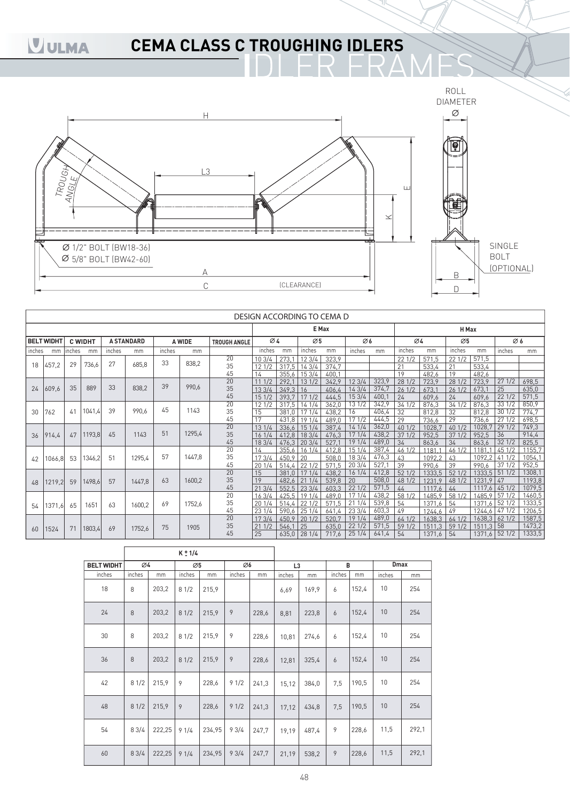## **CEMA CLASS C TROUGHING IDLERS**



|        |                   |        |                |        |                   |        |        |                     | DESIGN ACCORDING TO CEMA D |                |                 |                |              |                |                       |                 |                 |                |                |                |
|--------|-------------------|--------|----------------|--------|-------------------|--------|--------|---------------------|----------------------------|----------------|-----------------|----------------|--------------|----------------|-----------------------|-----------------|-----------------|----------------|----------------|----------------|
|        |                   |        |                |        |                   |        |        |                     |                            |                | E Max           |                |              |                |                       |                 | H Max           |                |                |                |
|        | <b>BELT WIDHT</b> |        | <b>C WIDHT</b> |        | <b>A STANDARD</b> |        | A WIDE | <b>TROUGH ANGLE</b> | $\varnothing$ 4            |                | Ø5              |                | Ø6           |                | Ø4                    |                 | $\varnothing$ 5 |                | Ø6             |                |
| inches | mm                | inches | mm             | inches | mm                | inches | mm     |                     | inches                     | mm             | inches          | mm             | inches       | mm             | inches                | mm              | inches          | mm             | inches         | mm             |
|        |                   |        |                | 27     |                   | 33     | 838,2  | 20                  | 103/4                      | 273,1          | 123/4           | 323,9          |              |                | 221/2                 | 571.5           | 221/2           | 571,5          |                |                |
| 18     | 457,2             | 29     | 736,6          |        | 685,8             |        |        | 35                  | 121/2                      | 317,5          | 143/4           | 374,7          |              |                | 21                    | 533,4           | 21              | 533,4          |                |                |
|        |                   |        |                |        |                   |        |        | 45                  | 14                         | 355.6          | 153/4           | 400.1          |              |                | 19                    | 482,6           | 19              | 482,6          |                |                |
|        |                   | 35     | 889            | 33     | 838,2             | 39     | 990,6  | $\overline{20}$     | 111/2                      | 292.1          | 131/2           | 342.9          | 123/4        | 323,9          | 28 1/2                | 723,9           | 281/2           | 723,9          | 271/2          | 698,5          |
| 24     | 609,6             |        |                |        |                   |        |        | 35                  | 133/4                      | 349,3          | 16              | 406.4          | 143/4        | 374,7          | 261/2                 | 673.1           | 261/2           | 673,1          | 25             | 635.0          |
|        |                   |        |                |        |                   |        |        | 45                  | 151/2                      | 393,7          | 171/2           | 444,5          | 153/4        | 400.7          | 24                    | 609,6           | 24              | 609,6          | 221/2          | 571,5          |
|        |                   | 41     | 1041,4         | 39     | 990.6             | 45     | 1143   | 20<br>35            | 121/2                      | 317,5          | 141/4           | 362,0          | 13 1/2       | 342,9          | 341/2                 | 876,3           | 341/2           | 876,3          | 331/2          | 850,9          |
| 30     | 762               |        |                |        |                   |        |        | 45                  | 15<br>17                   | 381.0          | 171/4           | 438,2          | 16<br>17 1/2 | 406,4<br>444,5 | 32<br>$\overline{29}$ | 812,8           | 32<br>29        | 812,8<br>736,6 | 301/2<br>271/2 | 774,7<br>698,5 |
|        |                   |        |                |        |                   |        |        | 20                  | 131/4                      | 431,8<br>336,6 | 19 1/4<br>151/4 | 489,0<br>387,4 | 14 1/4       | 362,0          | 40 1/2                | 736,6<br>1028,7 | 401/2           | 1028,7         | 291/2          | 749,3          |
| 36     | 914,4             | 47     | 1193,8         | 45     | 1143              | 51     | 1295,4 | 35                  | 161/4                      | 412,8          | 183/4           | 476,3          | 17 1/4       | 438,2          | 371/2                 | 952,5           | 371/2           | 952,5          | 36             | 914,4          |
|        |                   |        |                |        |                   |        |        | 45                  | 183/4                      | 476,3          | 203/4           | 527.           | 19 1/4       | 489.0          | 34                    | 863,6           | 34              | 863,6          | 321/2          | 825,5          |
|        |                   |        |                |        |                   |        |        | 20                  | 14                         | 355 6          | 161/4           | 412.8          | 151/4        | 387.4          | 46 1/2                | 1181            | 461/2           | 1181           | 45 1/2         | 1155.7         |
| 42     | 1066,8            | 53     | 1346,2         | 51     | 1295,4            | 57     | 1447,8 | 35                  | 173/4                      | 450.9          | 20              | 508.0          | 18 3/4       | 476,3          | 43                    | 10922           | 43              | 1092.2         | 411/2          | 1054,1         |
|        |                   |        |                |        |                   |        |        | 45                  | 201/4                      | 514,4          | 221/2           | 571.5          | 203/4        | 527.           | 39                    | 990,6           | 39              | 990,6          | 371/2          | 952,5          |
|        |                   |        |                |        |                   |        |        | 20                  | 15                         | 381.0          | 171/4           | 438,2          | 161/4        | 412,8          | 52 1/2                | 1333.5          | 521/2           |                | 1333,5 51 1/2  | 1308,1         |
| 48     | 1219,2            | 59     | 1498,6         | 57     | 1447,8            | 63     | 1600,2 | 35                  | 19                         | 482.6          | 211/4           | 539,8          | 20           | 508,0          | 48 1/2                | 1231,9          | 48 1/2          | 1231,9 47      |                | 1193,8         |
|        |                   |        |                |        |                   |        |        | 45                  | 213/4                      | 552.5          | 233/4           | 603.3          | 221/2        | 571,5          | 44                    | 1117.6          | 44              | 1117.6         | 451/2          | 1079.5         |
|        |                   |        |                |        |                   |        |        | 20                  | 163/4                      | 425,5          | 19 1/4          | 489,0          | 171/4        | 438,2          | 58 1/2                | 1485.9          | 58 1/2          |                | 1485,9 57 1/2  | 1460,5         |
| 54     | 1371,6            | 65     | 1651           | 63     | 1600,2            | 69     | 1752.6 | 35                  | 201/4                      | 514,4          | 221/2           | 571,5          | 211/4        | 539,8          | 54                    | 1371,6          | 54              | 1371,6         | 521/2          | 1333,5         |
|        |                   |        |                |        |                   |        |        | 45                  | 231/4                      | 590,6          | 25 1/4          | 641.4          | 23 3/4       | 603,3          | 49                    | 1244.6          | 49              |                | 1244.6 47 1/2  | 1206,5         |
|        |                   |        |                |        |                   |        |        | 20                  | 173/4                      | 450,9          | 201/2           | 520,7          | 19 1/4       | 489,0          | 641/2                 | 1638,3          | 641/2           |                | 1638, 3 62 1/2 | 1587,5         |
| 60     | 1524              | 71     | 1803,4         | 69     | 1752,6            | 75     | 1905   | 35                  | 211/2                      | 546,1          | 25              | 635.0          | 221/2        | 571,5          | 59 1/2                | 1511.3          | 591/2           | $1511,3$ 58    |                | 1473,2         |
|        |                   |        |                |        |                   |        |        | 45                  | 25                         |                | $635,0$ 28 1/4  | 717,6          | 251/4        | 641,4          | 54                    | 1371,6          | 54              |                | 1371,6 52 1/2  | 1333,5         |

|                   |                 |        | $K \pm 1/4$ |        |        |       |                |       |        |       |             |       |
|-------------------|-----------------|--------|-------------|--------|--------|-------|----------------|-------|--------|-------|-------------|-------|
| <b>BELT WIDHT</b> | $\varnothing$ 4 |        | Ø5          |        | Ø6     |       | L <sub>3</sub> |       | B      |       | <b>Dmax</b> |       |
| inches            | inches          | mm     | inches      | mm     | inches | mm    | inches         | mm    | inches | mm    | inches      | mm    |
| 18                | 8               | 203,2  | 81/2        | 215,9  |        |       | 6,69           | 169,9 | 6      | 152,4 | 10          | 254   |
| 24                | 8               | 203,2  | 81/2        | 215,9  | 9      | 228,6 | 8,81           | 223,8 | 6      | 152,4 | 10          | 254   |
| 30                | 8               | 203,2  | 81/2        | 215,9  | 9      | 228,6 | 10,81          | 274,6 | 6      | 152,4 | 10          | 254   |
| 36                | 8               | 203,2  | 81/2        | 215,9  | 9      | 228,6 | 12,81          | 325,4 | 6      | 152,4 | 10          | 254   |
| 42                | 81/2            | 215,9  | 9           | 228,6  | 91/2   | 241,3 | 15,12          | 384,0 | 7,5    | 190,5 | 10          | 254   |
| 48                | 81/2            | 215,9  | 9           | 228,6  | 91/2   | 241,3 | 17,12          | 434,8 | 7,5    | 190,5 | 10          | 254   |
| 54                | 83/4            | 222,25 | 91/4        | 234,95 | 93/4   | 247,7 | 19,19          | 487,4 | 9      | 228,6 | 11,5        | 292,1 |
| 60                | 83/4            | 222,25 | 91/4        | 234,95 | 93/4   | 247.7 | 21,19          | 538,2 | 9      | 228,6 | 11,5        | 292,1 |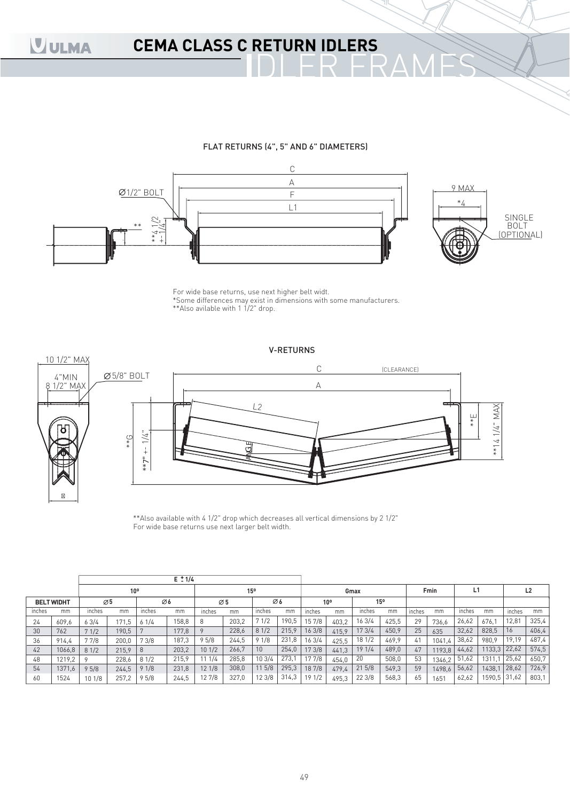## **CEMA CLASS C RETURN IDLERS**

#### FLAT RETURNS (4", 5" AND 6" DIAMETERS)



For wide base returns, use next higher belt widt. \*Some differences may exist in dimensions with some manufacturers. \*\*Also avilable with 1 1/2" drop.

#### V-RETURNS



\*\*Also available with 4 1/2" drop which decreases all vertical dimensions by 2 1/2" For wide base returns use next larger belt width.

|        |                   |                 |                 |        | $E \div 1/4$ |        |                 |        |       |        |                 |        |       |        |        |        |              |        |                |
|--------|-------------------|-----------------|-----------------|--------|--------------|--------|-----------------|--------|-------|--------|-----------------|--------|-------|--------|--------|--------|--------------|--------|----------------|
|        |                   |                 | 10 <sup>o</sup> |        |              |        | 15 <sup>o</sup> |        |       |        |                 | Gmax   |       |        | Fmin   |        |              |        | L <sub>2</sub> |
|        | <b>BELT WIDHT</b> | $\varnothing$ 5 |                 | Ø6     |              |        | $\varnothing$ 5 |        | Ø6    |        | 10 <sup>o</sup> | 15°    |       |        |        |        |              |        |                |
| inches | mm                | inches          | mm              | inches | mm           | inches | mm              | inches | mm    | inches | mm              | inches | mm    | inches | mm     | inches | mm           | inches | mm             |
| 24     | 609,6             | 63/4            | 171,5           | 61/4   | 58,8         | 8      | 203,2           | 71/2   | 190,5 | 15 7/8 | 403.2           | 16 3/4 | 425,5 | 29     | 736.6  | 26,62  | 676.1        | 12,81  | 325,4          |
| 30     | 762               | 71/2            | 190,5           |        | 177,8        |        | 228,6           | 81/2   | 215,9 | 163/8  | 415.9           | 17 3/4 | 450,9 | 25     | 635    | 32,62  | 828.5        | 16     | 406,4          |
| 36     | 914,4             | 77/8            | 200,0           | 73/8   | 187,3        | 95/8   | 244,5           | 91/8   | 231,8 | 163/4  | 425.5           | 18 1/2 | 469.9 | 41     | 1041.4 | 38,62  | 980.9        | 19,19  | 487,4          |
| 42     | 1066,8            | 81/2            | 215,9           | 8      | 203,2        | 101/2  | 266,7           | 10     | 254,0 | 173/8  | 441,3           | 191/4  | 489,0 | 47     | 1193.8 | 44,62  | 1133,3       | 22,62  | 574,5          |
| 48     | 1219,2            |                 | 228,6           | 81/2   | 215,9        | 1/4    | 285,8           | 103/4  | 273.1 | 17 7/8 | 454.0           | 20     | 508,0 | 53     | 1346,2 | 51,62  | 1311.1       | 25,62  | 650,7          |
| 54     | 1371,6            | 95/8            | 244,5           | 91/8   | 231,8        | 121/8  | 308,0           | 115/8  | 295,3 | 18 7/8 | 479.4           | 215/8  | 549,3 | 59     | 1498.6 | 56,62  | 1438,1       | 28,62  | 726,9          |
| 60     | 1524              | 101/8           | 257,2           | 95/8   | 244,5        | 127/8  | 327,0           | 123/8  | 314,3 | 191/2  | 495.3           | 22 3/8 | 568,3 | 65     | 1651   | 62,62  | 1590,5 31,62 |        | 803,1          |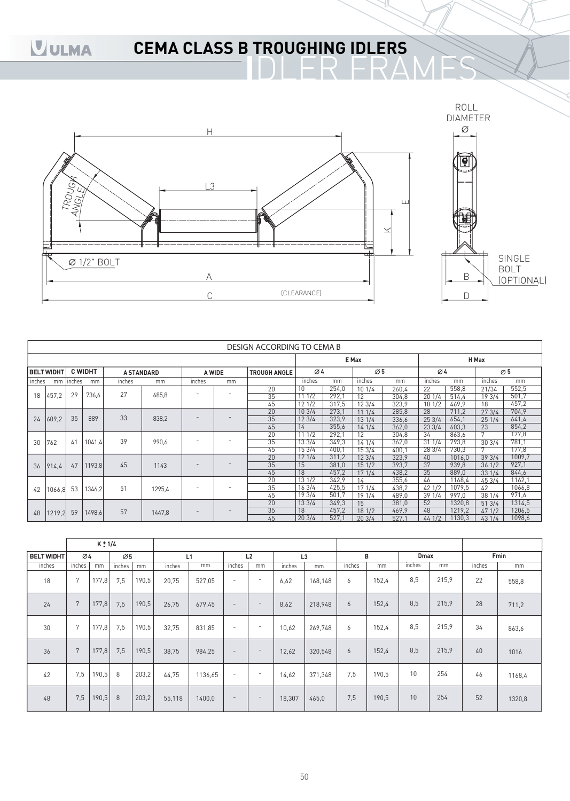## **CEMA CLASS B TROUGHING IDLERS**



|             |                   |        |                |                   |        |        |        | DESIGN ACCORDING TO CEMA B |        |        |                 |       |        |        |        |                 |
|-------------|-------------------|--------|----------------|-------------------|--------|--------|--------|----------------------------|--------|--------|-----------------|-------|--------|--------|--------|-----------------|
|             |                   |        |                |                   |        |        |        |                            |        |        | E Max           |       |        |        | H Max  |                 |
|             | <b>BELT WIDHT</b> |        | <b>C WIDHT</b> | <b>A STANDARD</b> |        |        | A WIDE | <b>TROUGH ANGLE</b>        | Ø4     |        | $\varnothing$ 5 |       | Ø4     |        |        | $\varnothing$ 5 |
| inches      | mm                | inches | mm             | inches            | mm     | inches | mm     |                            | inches | mm     | inches          | mm    | inches | mm     | inches | mm              |
|             |                   |        |                | 27                |        | ٠      | -      | 20                         | 10     | 254,0  | 10 1/4          | 260,4 | 22     | 558,8  | 21/34  | 552,5           |
| 18          | 457.2             | 29     | 736.6          |                   | 685.8  |        |        | 35                         | 111/2  | 292,1  | 12              | 304.8 | 201/4  | 514,4  | 193/4  | 501,7           |
|             |                   |        |                |                   |        |        |        | 45                         | 121/2  | 317,5  | 12 3/4          | 323.9 | 18 1/2 | 469,9  | 18     | 457,2           |
|             |                   |        |                |                   |        |        |        | 20                         | 103/4  | 273,1  | 111/4           | 285.8 | 28     | 711.2  | 273/4  | 704,9           |
| 24<br>609,2 | 35                | 889    | 33             | 838,2             |        |        | 35     | 123/4                      | 323,9  | 13 1/4 | 336.6           | 253/4 | 654,1  | 251/4  | 641,4  |                 |
|             |                   |        |                |                   |        |        | 45     | 14                         | 355,6  | 141/4  | 362,0           | 233/4 | 603.3  | 23     | 854,2  |                 |
|             |                   |        |                |                   |        |        |        | 20                         | 111/2  | 292,1  | 12              | 304,8 | 34     | 863,6  |        | 177,8           |
| 30          | 762               | 41     | 1041,4         | 39                | 990.6  |        |        | 35                         | 133/4  | 349,3  | 14 1/4          | 362,0 | 311/4  | 793,8  | 303/4  | 781,1           |
|             |                   |        |                |                   |        |        |        | 45                         | 153/4  | 400,1  | 153/4           | 400.7 | 28 3/4 | 730,3  |        | 177,8           |
|             |                   |        |                |                   |        |        |        | 20                         | 121/4  | 311.2  | 123/4           | 323.9 | 40     | 1016.0 | 393/4  | 1009.7          |
| 36          | 914.4             | 47     | 1193,8         | 45                | 1143   |        |        | 35                         | 15     | 381,0  | 151/2           | 393.7 | 37     | 939,8  | 361/2  | 927,1           |
|             |                   |        |                |                   |        |        |        | 45                         | 18     | 457,2  | 171/4           | 438.2 | 35     | 889,0  | 331/4  | 844,6           |
|             |                   |        |                |                   |        |        |        | 20                         | 131/2  | 342,9  | 14              | 355.6 | 46     | 1168.4 | 45 3/4 | 1162.1          |
| 42          | 1066,8            | 53     | 1346,2         | 51                | 1295,4 |        | ٠      | 35                         | 163/4  | 425,5  | 171/4           | 438.2 | 42 1/2 | 1079.5 | 42     | 1066,8          |
|             |                   |        |                |                   |        |        |        | 45                         | 19 3/4 | 501,7  | 19 1/4          | 489,0 | 391/4  | 997,0  | 38 1/4 | 971,6           |
|             |                   |        |                |                   |        |        |        | 20                         | 133/4  | 349.3  | 15              | 381,0 | 52     | 1320,8 | 513/4  | 1314,5          |
| 48          | 1219,2            | 59     | 1498.6         | 57                | 1447,8 |        |        | 35                         | 18     | 457,2  | 181/2           | 469.9 | 48     | 1219.2 | 471/2  | 1206,5          |
|             |                   |        |                |                   |        |        |        | 45                         | 203/4  | 527,1  | 203/4           | 527.1 | 44 1/2 | 1130,3 | 43 1/4 | 1098,6          |

|                   |                 | $K \pm 1/4$ |                 |       |        |         |                          |                          |                |         |        |       |             |       |        |        |
|-------------------|-----------------|-------------|-----------------|-------|--------|---------|--------------------------|--------------------------|----------------|---------|--------|-------|-------------|-------|--------|--------|
| <b>BELT WIDHT</b> | $\varnothing$ 4 |             | $\varnothing$ 5 |       | L1     |         |                          | L2                       | L <sub>3</sub> |         |        | в     | <b>Dmax</b> |       |        | Fmin   |
| inches            | inches          | mm          | inches          | mm    | inches | mm      | inches                   | mm                       | inches         | mm      | inches | mm    | inches      | mm    | inches | mm     |
| 18                | 7               | 177,8       | 7,5             | 190,5 | 20,75  | 527,05  | $\overline{\phantom{a}}$ | $\overline{\phantom{a}}$ | 6,62           | 168,148 | 6      | 152,4 | 8,5         | 215,9 | 22     | 558,8  |
| 24                | 7               | 177,8       | 7,5             | 190,5 | 26,75  | 679,45  | $\overline{\phantom{a}}$ | $\overline{\phantom{a}}$ | 8,62           | 218,948 | 6      | 152,4 | 8,5         | 215,9 | 28     | 711,2  |
| 30                | 7               | 177,8       | 7,5             | 190,5 | 32,75  | 831,85  | $\overline{\phantom{a}}$ | $\sim$                   | 10,62          | 269,748 | 6      | 152,4 | 8,5         | 215,9 | 34     | 863,6  |
| 36                | 7               | 177,8       | 7,5             | 190,5 | 38,75  | 984,25  | $\overline{\phantom{a}}$ | $\overline{\phantom{a}}$ | 12,62          | 320,548 | 6      | 152,4 | 8,5         | 215,9 | 40     | 1016   |
| 42                | 7,5             | 190,5       | 8               | 203,2 | 44,75  | 1136,65 | $\overline{\phantom{a}}$ | $\overline{\phantom{a}}$ | 14,62          | 371,348 | 7.5    | 190,5 | 10          | 254   | 46     | 1168,4 |
| 48                | 7,5             | 190,5       | 8               | 203,2 | 55,118 | 1400,0  | $\overline{\phantom{a}}$ | $\overline{\phantom{a}}$ | 18,307         | 465,0   | 7,5    | 190,5 | 10          | 254   | 52     | 1320,8 |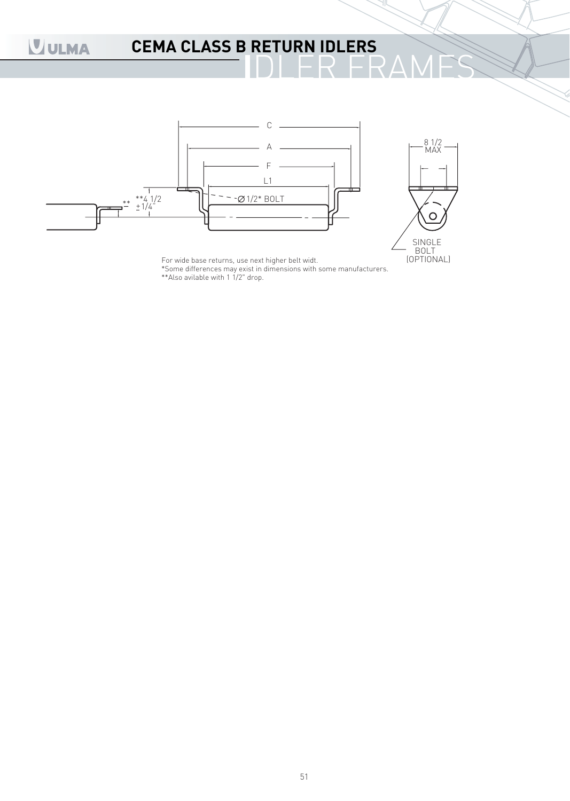## **CEMA CLASS B RETURN IDLERS**



For wide base returns, use next higher belt widt. (OPTIONAL)

\*Some differences may exist in dimensions with some manufacturers. \*\*Also avilable with 1 1/2" drop.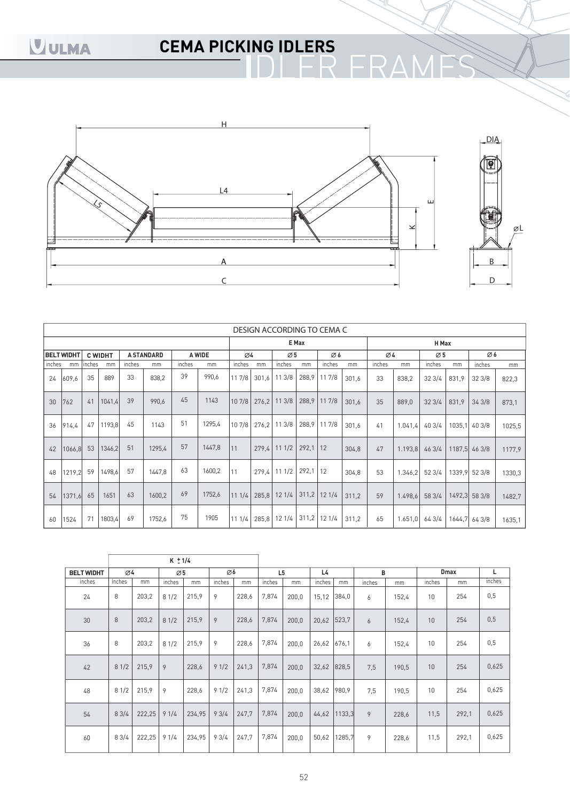# **CEMA PICKING IDLERS**



|        |                   |        |                |        |                   |        |        |        |    |                 |            | DESIGN ACCORDING TO CEMA C |       |                 |         |                 |       |               |        |
|--------|-------------------|--------|----------------|--------|-------------------|--------|--------|--------|----|-----------------|------------|----------------------------|-------|-----------------|---------|-----------------|-------|---------------|--------|
|        |                   |        |                |        |                   |        |        |        |    |                 | E Max      |                            |       |                 |         | H Max           |       |               |        |
|        | <b>BELT WIDHT</b> |        | <b>C WIDHT</b> |        | <b>A STANDARD</b> |        | A WIDE | Ø4     |    | $\varnothing$ 5 |            | Ø6                         |       | $\varnothing$ 4 |         | $\varnothing$ 5 |       | Ø6            |        |
| inches | mm                | inches | mm             | inches | mm                | inches | mm     | inches | mm | inches          | mm         | inches                     | mm    | inches          | mm      | inches          | mm    | inches        | mm     |
| 24     | 609,6             | 35     | 889            | 33     | 838,2             | 39     | 990,6  | 117/8  |    | 301,6 11 3/8    |            | 288,9 11 7/8               | 301.6 | 33              | 838,2   | 323/4           | 831,9 | 323/8         | 822,3  |
| 30     | 762               | 41     | 1041,4         | 39     | 990.6             | 45     | 1143   | 10 7/8 |    | 276.2 11 3/8    |            | 288,9 11 7/8               | 301.6 | 35              | 889,0   | 323/4           | 831,9 | 343/8         | 873,1  |
| 36     | 914.4             | 47     | 1193,8         | 45     | 1143              | 51     | 1295,4 | 107/8  |    | 276.2 11 3/8    |            | 288,9 11 7/8               | 301,6 | 41              | 1.041,4 | 403/4           |       | 1035,1 40 3/8 | 1025,5 |
| 42     | 1066,8            | 53     | 1346,2         | 51     | 1295,4            | 57     | 1447,8 | 111    |    | 279.4 11 1/2    | $292,1$ 12 |                            | 304,8 | 47              | 1.193,8 | 463/4           |       | 1187,5 46 3/8 | 1177,9 |
| 48     | 1219,2            | 59     | 1498,6         | 57     | 1447.8            | 63     | 1600,2 | 11     |    | 279.4 11 1/2    | $292,1$ 12 |                            | 304,8 | 53              | 1.346,2 | 523/4           |       | 1339,9 52 3/8 | 1330,3 |
| 54     | 1371.6            | 65     | 1651           | 63     | 1600,2            | 69     | 1752,6 | 111/4  |    | 285,8 12 1/4    |            | $311,2$ 12 1/4             | 311,2 | 59              | 1.498,6 | 58 3/4          |       | 1492,3 58 3/8 | 1482,7 |
| 60     | 1524              | 71     | 1803,4         | 69     | 1752,6            | 75     | 1905   | 111/4  |    | 285,8 12 1/4    |            | $311,2$ 12 1/4             | 311.2 | 65              | 1.651,0 | 64 3/4          |       | 1644.7 643/8  | 1635,1 |

|                   |                 |        | $K \pm 1/4$     |        |        |       |                |       |             |              |        |       |        |             |        |
|-------------------|-----------------|--------|-----------------|--------|--------|-------|----------------|-------|-------------|--------------|--------|-------|--------|-------------|--------|
| <b>BELT WIDHT</b> | $\varnothing$ 4 |        | $\varnothing$ 5 |        | Ø6     |       | L <sub>5</sub> |       | L4          |              | B      |       |        | <b>Dmax</b> | L      |
| inches            | inches          | mm     | inches          | mm     | inches | mm    | inches         | mm    | inches      | mm           | inches | mm    | inches | mm          | inches |
| 24                | 8               | 203,2  | 81/2            | 215,9  | 9      | 228,6 | 7,874          | 200.0 | 15,12       | 384,0        | 6      | 152,4 | 10     | 254         | 0,5    |
| 30                | 8               | 203,2  | 81/2            | 215,9  | 9      | 228,6 | 7,874          | 200,0 | 20,62       | 523,7        | 6      | 152,4 | 10     | 254         | 0,5    |
| 36                | 8               | 203,2  | 81/2            | 215,9  | 9      | 228,6 | 7,874          | 200.0 | 26,62 676,1 |              | 6      | 152,4 | 10     | 254         | 0,5    |
| 42                | 81/2            | 215,9  | 9               | 228,6  | 91/2   | 241,3 | 7,874          | 200,0 | 32,62 828,5 |              | 7,5    | 190,5 | 10     | 254         | 0,625  |
| 48                | 81/2            | 215,9  | 9               | 228,6  | 91/2   | 241,3 | 7,874          | 200.0 | 38,62       | 980,9        | 7.5    | 190,5 | 10     | 254         | 0,625  |
| 54                | 83/4            | 222,25 | 91/4            | 234,95 | 93/4   | 247,7 | 7,874          | 200,0 |             | 44,62 1133,3 | 9      | 228,6 | 11,5   | 292,1       | 0,625  |
| 60                | 83/4            | 222,25 | 91/4            | 234,95 | 93/4   | 247,7 | 7,874          | 200,0 | 50,62       | 1285,7       | 9      | 228,6 | 11,5   | 292,1       | 0,625  |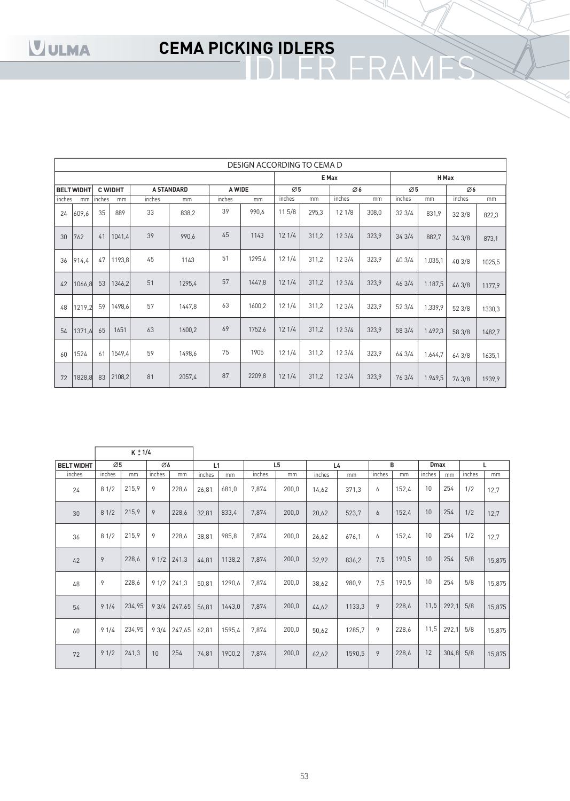# **CEMA PICKING IDLERS**

|        |                   |        |                |        |                   |        | DESIGN ACCORDING TO CEMA D |                 |       |        |       |                 |         |        |        |
|--------|-------------------|--------|----------------|--------|-------------------|--------|----------------------------|-----------------|-------|--------|-------|-----------------|---------|--------|--------|
|        |                   |        |                |        |                   |        |                            |                 |       | E Max  |       |                 | H Max   |        |        |
|        | <b>BELT WIDHT</b> |        | <b>C WIDHT</b> |        | <b>A STANDARD</b> | A WIDE |                            | $\varnothing$ 5 |       | Ø6     |       | $\varnothing$ 5 |         | Ø6     |        |
| inches | mm                | inches | mm             | inches | mm                | inches | mm                         | inches          | mm    | inches | mm    | inches          | mm      | inches | mm     |
| 24     | 609,6             | 35     | 889            | 33     | 838,2             | 39     | 990,6                      | 11 5/8          | 295,3 | 121/8  | 308,0 | 323/4           | 831,9   | 323/8  | 822,3  |
| 30     | 762               | 41     | 1041,4         | 39     | 990,6             | 45     | 1143                       | 121/4           | 311,2 | 123/4  | 323,9 | 343/4           | 882,7   | 343/8  | 873,1  |
| 36     | 914,4             | 47     | 1193,8         | 45     | 1143              | 51     | 1295,4                     | 121/4           | 311,2 | 123/4  | 323,9 | 40 3/4          | 1.035,1 | 40 3/8 | 1025,5 |
| 42     | 1066,8            | 53     | 1346,2         | 51     | 1295,4            | 57     | 1447,8                     | 121/4           | 311,2 | 123/4  | 323,9 | 46 3/4          | 1.187,5 | 46 3/8 | 1177,9 |
| 48     | 1219,2            | 59     | 1498,6         | 57     | 1447,8            | 63     | 1600,2                     | 121/4           | 311,2 | 123/4  | 323,9 | 52 3/4          | 1.339,9 | 52 3/8 | 1330,3 |
| 54     | 1371,6            | 65     | 1651           | 63     | 1600,2            | 69     | 1752,6                     | 121/4           | 311,2 | 123/4  | 323,9 | 58 3/4          | 1.492,3 | 58 3/8 | 1482,7 |
| 60     | 1524              | 61     | 1549,4         | 59     | 1498,6            | 75     | 1905                       | 121/4           | 311,2 | 123/4  | 323,9 | 64 3/4          | 1.644,7 | 64 3/8 | 1635,1 |
| 72     | 1828,8            | 83     | 2108,2         | 81     | 2057,4            | 87     | 2209,8                     | 121/4           | 311,2 | 123/4  | 323,9 | 76 3/4          | 1.949,5 | 76 3/8 | 1939,9 |

|                   |                 | $K \pm 1/4$ |        |        |        |        |        |                |                |        |        |       |             |       |        |        |
|-------------------|-----------------|-------------|--------|--------|--------|--------|--------|----------------|----------------|--------|--------|-------|-------------|-------|--------|--------|
| <b>BELT WIDHT</b> | $\varnothing$ 5 |             | Ø6     |        | L1     |        |        | L <sub>5</sub> | L <sub>4</sub> |        | B      |       | <b>Dmax</b> |       |        |        |
| inches            | inches          | mm          | inches | mm     | inches | mm     | inches | mm             | inches         | mm     | inches | mm    | inches      | mm    | inches | mm     |
| 24                | 81/2            | 215,9       | 9      | 228,6  | 26,81  | 681,0  | 7,874  | 200,0          | 14,62          | 371,3  | 6      | 152,4 | 10          | 254   | 1/2    | 12,7   |
| 30                | 81/2            | 215,9       | 9      | 228,6  | 32,81  | 833,4  | 7,874  | 200,0          | 20,62          | 523,7  | 6      | 152,4 | 10          | 254   | 1/2    | 12,7   |
| 36                | 81/2            | 215,9       | 9      | 228,6  | 38,81  | 985,8  | 7,874  | 200,0          | 26,62          | 676.1  | 6      | 152,4 | 10          | 254   | 1/2    | 12,7   |
| 42                | 9               | 228,6       | 91/2   | 241,3  | 44,81  | 1138,2 | 7,874  | 200,0          | 32,92          | 836,2  | 7,5    | 190,5 | 10          | 254   | 5/8    | 15,875 |
| 48                | 9               | 228,6       | 91/2   | 241,3  | 50,81  | 1290,6 | 7,874  | 200,0          | 38,62          | 980,9  | 7.5    | 190,5 | 10          | 254   | 5/8    | 15,875 |
| 54                | 91/4            | 234,95      | 93/4   | 247,65 | 56,81  | 1443,0 | 7,874  | 200,0          | 44,62          | 1133,3 | 9      | 228,6 | 11,5        | 292,1 | 5/8    | 15,875 |
| 60                | 91/4            | 234,95      | 93/4   | 247,65 | 62,81  | 1595,4 | 7,874  | 200,0          | 50,62          | 1285,7 | 9      | 228,6 | 11,5        | 292,1 | 5/8    | 15,875 |
| 72                | 91/2            | 241,3       | 10     | 254    | 74,81  | 1900,2 | 7,874  | 200,0          | 62,62          | 1590,5 | 9      | 228,6 | 12          | 304,8 | 5/8    | 15,875 |